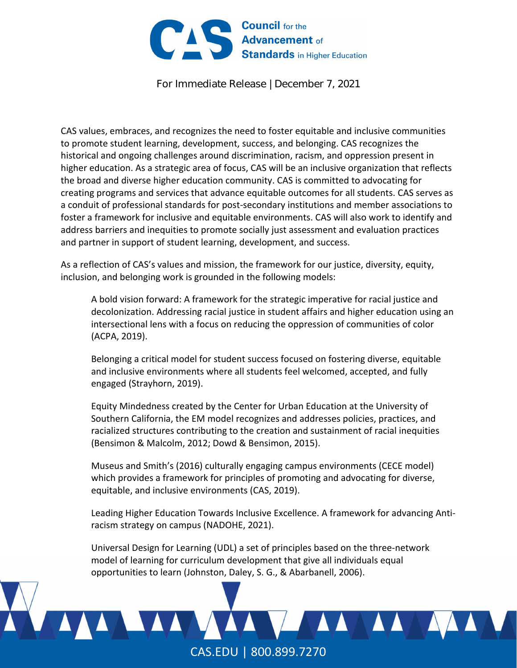

For Immediate Release | December 7, 2021

CAS values, embraces, and recognizes the need to foster equitable and inclusive communities to promote student learning, development, success, and belonging. CAS recognizes the historical and ongoing challenges around discrimination, racism, and oppression present in higher education. As a strategic area of focus, CAS will be an inclusive organization that reflects the broad and diverse higher education community. CAS is committed to advocating for creating programs and services that advance equitable outcomes for all students. CAS serves as a conduit of professional standards for post‐secondary institutions and member associations to foster a framework for inclusive and equitable environments. CAS will also work to identify and address barriers and inequities to promote socially just assessment and evaluation practices and partner in support of student learning, development, and success.

As a reflection of CAS's values and mission, the framework for our justice, diversity, equity, inclusion, and belonging work is grounded in the following models:

A bold vision forward: A framework for the strategic imperative for racial justice and decolonization. Addressing racial justice in student affairs and higher education using an intersectional lens with a focus on reducing the oppression of communities of color (ACPA, 2019).

Belonging a critical model for student success focused on fostering diverse, equitable and inclusive environments where all students feel welcomed, accepted, and fully engaged (Strayhorn, 2019).

Equity Mindedness created by the Center for Urban Education at the University of Southern California, the EM model recognizes and addresses policies, practices, and racialized structures contributing to the creation and sustainment of racial inequities (Bensimon & Malcolm, 2012; Dowd & Bensimon, 2015).

Museus and Smith's (2016) culturally engaging campus environments (CECE model) which provides a framework for principles of promoting and advocating for diverse, equitable, and inclusive environments (CAS, 2019).

Leading Higher Education Towards Inclusive Excellence. A framework for advancing Anti‐ racism strategy on campus (NADOHE, 2021).

Universal Design for Learning (UDL) a set of principles based on the three‐network model of learning for curriculum development that give all individuals equal opportunities to learn (Johnston, Daley, S. G., & Abarbanell, 2006).

CAS.EDU | 800.899.7270